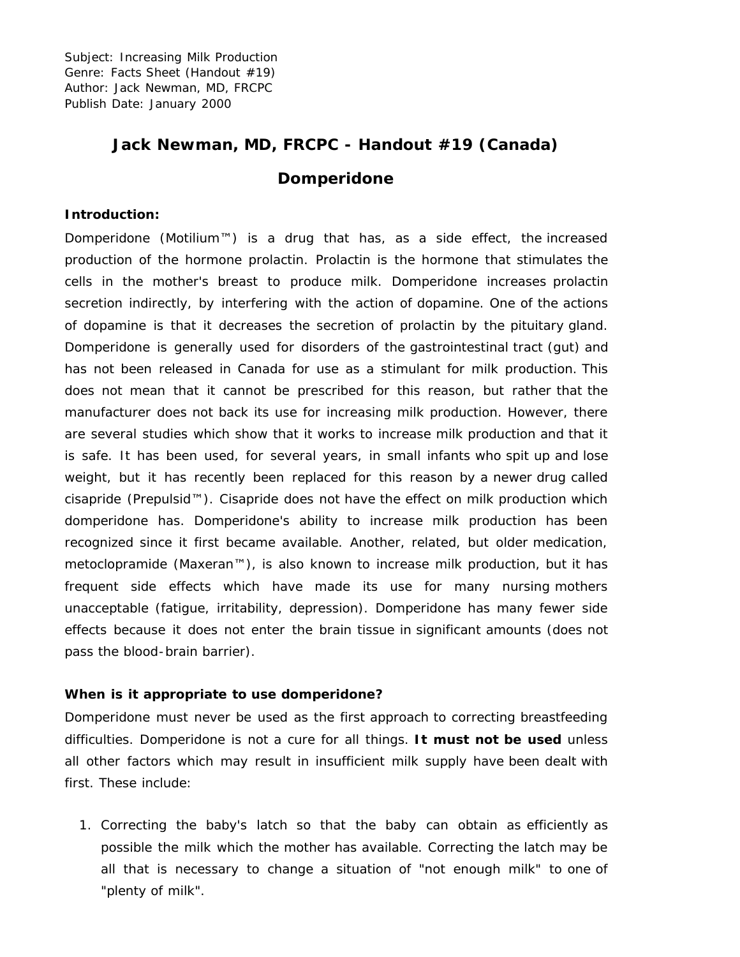Subject: Increasing Milk Production Genre: Facts Sheet (Handout #19) Author: Jack Newman, MD, FRCPC Publish Date: January 2000

# **Jack Newman, MD, FRCPC - Handout #19 (Canada)**

## **Domperidone**

#### **Introduction:**

Domperidone (Motilium™) is a drug that has, as a side effect, the increased production of the hormone prolactin. Prolactin is the hormone that stimulates the cells in the mother's breast to produce milk. Domperidone increases prolactin secretion indirectly, by interfering with the action of dopamine. One of the actions of dopamine is that it decreases the secretion of prolactin by the pituitary gland. Domperidone is generally used for disorders of the gastrointestinal tract (gut) and has not been released in Canada for use as a stimulant for milk production. This does not mean that it cannot be prescribed for this reason, but rather that the manufacturer does not back its use for increasing milk production. However, there are several studies which show that it works to increase milk production and that it is safe. It has been used, for several years, in small infants who spit up and lose weight, but it has recently been replaced for this reason by a newer drug called cisapride (Prepulsid™). Cisapride does not have the effect on milk production which domperidone has. Domperidone's ability to increase milk production has been recognized since it first became available. Another, related, but older medication, metoclopramide (Maxeran™), is also known to increase milk production, but it has frequent side effects which have made its use for many nursing mothers unacceptable (fatigue, irritability, depression). Domperidone has many fewer side effects because it does not enter the brain tissue in significant amounts (does not pass the blood-brain barrier).

#### **When is it appropriate to use domperidone?**

Domperidone must never be used as the first approach to correcting breastfeeding difficulties. Domperidone is not a cure for all things. **It must not be used** unless all other factors which may result in insufficient milk supply have been dealt with first. These include:

1. Correcting the baby's latch so that the baby can obtain as efficiently as possible the milk which the mother has available. Correcting the latch may be all that is necessary to change a situation of "not enough milk" to one of "plenty of milk".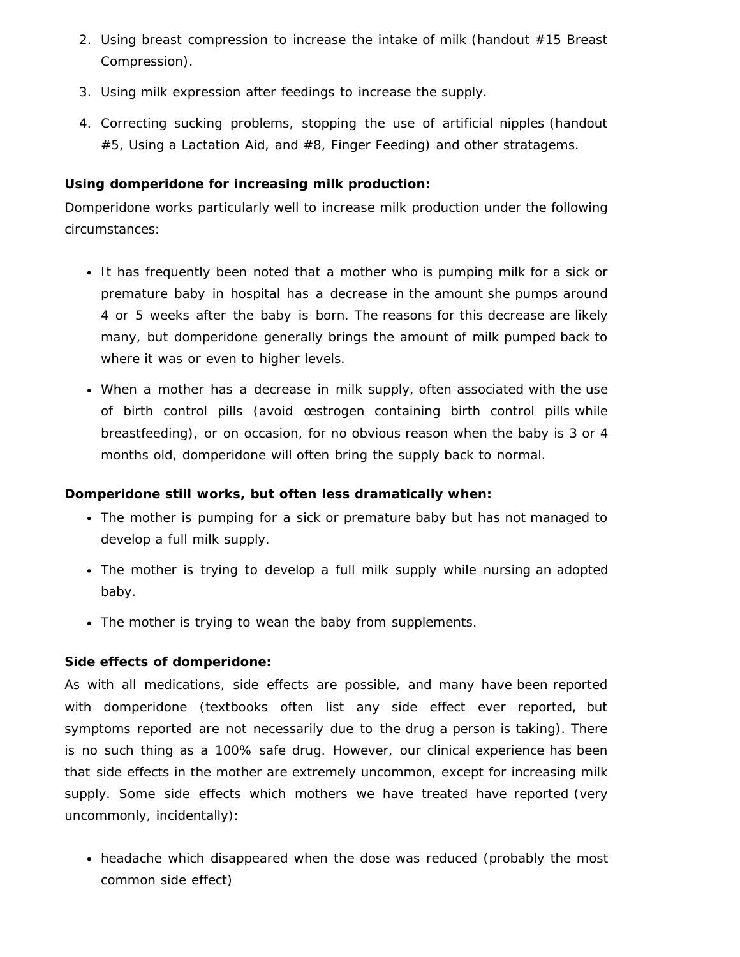- 2. Using breast compression to increase the intake of milk (handout #15 Breast Compression).
- 3. Using milk expression after feedings to increase the supply.
- 4. Correcting sucking problems, stopping the use of artificial nipples (handout #5, Using a Lactation Aid, and #8, Finger Feeding) and other stratagems.

#### **Using domperidone for increasing milk production:**

Domperidone works particularly well to increase milk production under the following circumstances:

- It has frequently been noted that a mother who is pumping milk for a sick or premature baby in hospital has a decrease in the amount she pumps around 4 or 5 weeks after the baby is born. The reasons for this decrease are likely many, but domperidone generally brings the amount of milk pumped back to where it was or even to higher levels.
- When a mother has a decrease in milk supply, often associated with the use of birth control pills (avoid œstrogen containing birth control pills while breastfeeding), or on occasion, for no obvious reason when the baby is 3 or 4 months old, domperidone will often bring the supply back to normal.

## **Domperidone still works, but often less dramatically when:**

- The mother is pumping for a sick or premature baby but has not managed to develop a full milk supply.
- The mother is trying to develop a full milk supply while nursing an adopted baby.
- The mother is trying to wean the baby from supplements.

## **Side effects of domperidone:**

As with all medications, side effects are possible, and many have been reported with domperidone (textbooks often list any side effect ever reported, but symptoms reported are not necessarily due to the drug a person is taking). There is no such thing as a 100% safe drug. However, our clinical experience has been that side effects in the mother are extremely uncommon, except for increasing milk supply. Some side effects which mothers we have treated have reported (very uncommonly, incidentally):

• headache which disappeared when the dose was reduced (probably the most common side effect)